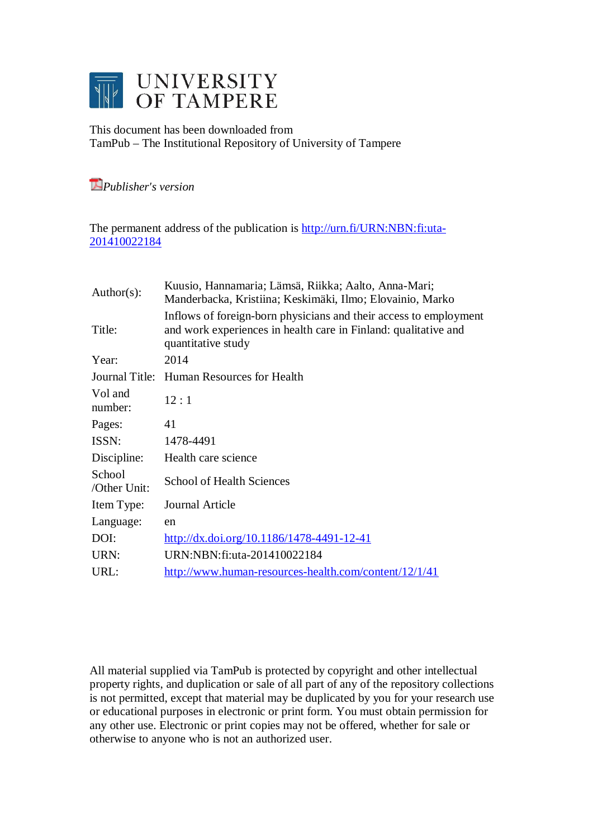

This document has been downloaded from TamPub – The Institutional Repository of University of Tampere

## *Publisher's version*

The permanent address of the publication is [http://urn.fi/URN:NBN:fi:uta-](http://urn.fi/URN:NBN:fi:uta-201410022184)[201410022184](http://urn.fi/URN:NBN:fi:uta-201410022184)

| Author( $s$ ):         | Kuusio, Hannamaria; Lämsä, Riikka; Aalto, Anna-Mari;<br>Manderbacka, Kristiina; Keskimäki, Ilmo; Elovainio, Marko                                          |
|------------------------|------------------------------------------------------------------------------------------------------------------------------------------------------------|
| Title:                 | Inflows of foreign-born physicians and their access to employment<br>and work experiences in health care in Finland: qualitative and<br>quantitative study |
| Year:                  | 2014                                                                                                                                                       |
|                        | Journal Title: Human Resources for Health                                                                                                                  |
| Vol and<br>number:     | 12:1                                                                                                                                                       |
| Pages:                 | 41                                                                                                                                                         |
| ISSN:                  | 1478-4491                                                                                                                                                  |
| Discipline:            | Health care science                                                                                                                                        |
| School<br>/Other Unit: | <b>School of Health Sciences</b>                                                                                                                           |
| Item Type:             | Journal Article                                                                                                                                            |
| Language:              | en                                                                                                                                                         |
| DOI:                   | $\frac{http://dx.doi.org/10.1186/1478-4491-12-41}{http://dx.doi.org/10.1186/1478-4491-12-41}$                                                              |
| URN:                   | URN:NBN:fi:uta-201410022184                                                                                                                                |
| URL:                   | http://www.human-resources-health.com/content/12/1/41                                                                                                      |

All material supplied via TamPub is protected by copyright and other intellectual property rights, and duplication or sale of all part of any of the repository collections is not permitted, except that material may be duplicated by you for your research use or educational purposes in electronic or print form. You must obtain permission for any other use. Electronic or print copies may not be offered, whether for sale or otherwise to anyone who is not an authorized user.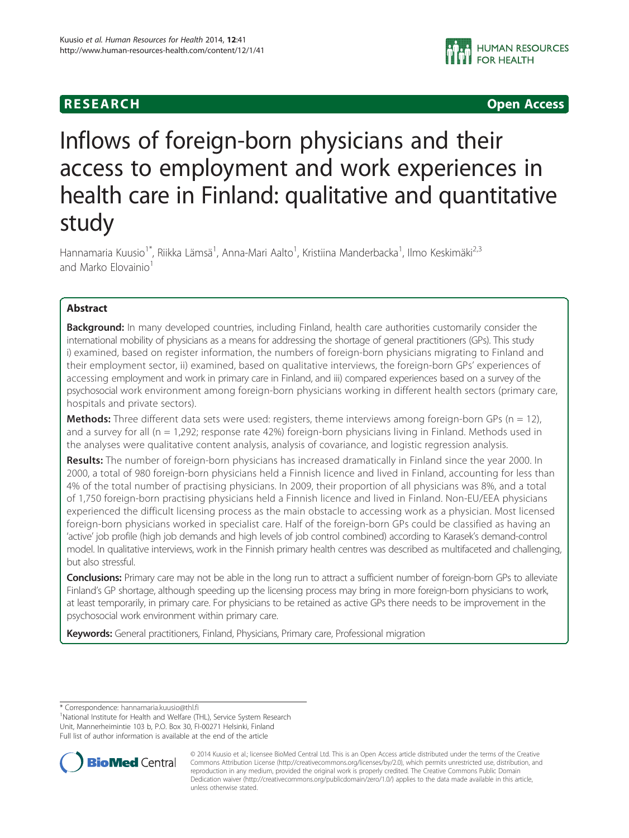**RESEARCH CHINESE ARCH CHINESE ARCH CHINESE ARCH** 

# Inflows of foreign-born physicians and their access to employment and work experiences in health care in Finland: qualitative and quantitative study

Hannamaria Kuusio<sup>1\*</sup>, Riikka Lämsä<sup>1</sup>, Anna-Mari Aalto<sup>1</sup>, Kristiina Manderbacka<sup>1</sup>, Ilmo Keskimäki<sup>2,3</sup> and Marko Elovainio<sup>1</sup>

### Abstract

Background: In many developed countries, including Finland, health care authorities customarily consider the international mobility of physicians as a means for addressing the shortage of general practitioners (GPs). This study i) examined, based on register information, the numbers of foreign-born physicians migrating to Finland and their employment sector, ii) examined, based on qualitative interviews, the foreign-born GPs' experiences of accessing employment and work in primary care in Finland, and iii) compared experiences based on a survey of the psychosocial work environment among foreign-born physicians working in different health sectors (primary care, hospitals and private sectors).

**Methods:** Three different data sets were used: registers, theme interviews among foreign-born GPs ( $n = 12$ ), and a survey for all ( $n = 1,292$ ; response rate 42%) foreign-born physicians living in Finland. Methods used in the analyses were qualitative content analysis, analysis of covariance, and logistic regression analysis.

Results: The number of foreign-born physicians has increased dramatically in Finland since the year 2000. In 2000, a total of 980 foreign-born physicians held a Finnish licence and lived in Finland, accounting for less than 4% of the total number of practising physicians. In 2009, their proportion of all physicians was 8%, and a total of 1,750 foreign-born practising physicians held a Finnish licence and lived in Finland. Non-EU/EEA physicians experienced the difficult licensing process as the main obstacle to accessing work as a physician. Most licensed foreign-born physicians worked in specialist care. Half of the foreign-born GPs could be classified as having an 'active' job profile (high job demands and high levels of job control combined) according to Karasek's demand-control model. In qualitative interviews, work in the Finnish primary health centres was described as multifaceted and challenging, but also stressful.

Conclusions: Primary care may not be able in the long run to attract a sufficient number of foreign-born GPs to alleviate Finland's GP shortage, although speeding up the licensing process may bring in more foreign-born physicians to work, at least temporarily, in primary care. For physicians to be retained as active GPs there needs to be improvement in the psychosocial work environment within primary care.

Keywords: General practitioners, Finland, Physicians, Primary care, Professional migration

\* Correspondence: [hannamaria.kuusio@thl.fi](mailto:hannamaria.kuusio@thl.fi) <sup>1</sup>

<sup>1</sup>National Institute for Health and Welfare (THL), Service System Research Unit, Mannerheimintie 103 b, P.O. Box 30, FI-00271 Helsinki, Finland Full list of author information is available at the end of the article



© 2014 Kuusio et al.; licensee BioMed Central Ltd. This is an Open Access article distributed under the terms of the Creative Commons Attribution License [\(http://creativecommons.org/licenses/by/2.0\)](http://creativecommons.org/licenses/by/2.0), which permits unrestricted use, distribution, and reproduction in any medium, provided the original work is properly credited. The Creative Commons Public Domain Dedication waiver [\(http://creativecommons.org/publicdomain/zero/1.0/](http://creativecommons.org/publicdomain/zero/1.0/)) applies to the data made available in this article, unless otherwise stated.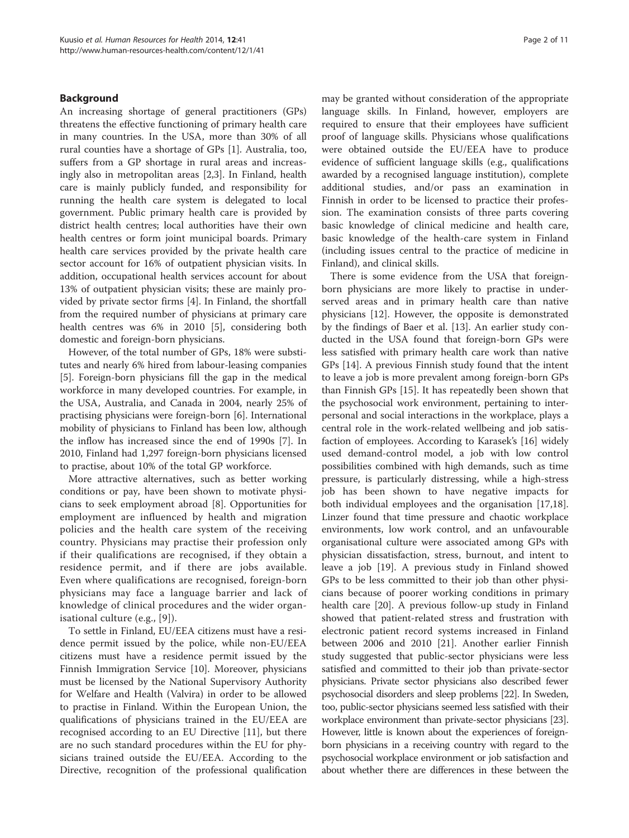#### Background

An increasing shortage of general practitioners (GPs) threatens the effective functioning of primary health care in many countries. In the USA, more than 30% of all rural counties have a shortage of GPs [[1\]](#page-10-0). Australia, too, suffers from a GP shortage in rural areas and increasingly also in metropolitan areas [[2](#page-10-0),[3](#page-10-0)]. In Finland, health care is mainly publicly funded, and responsibility for running the health care system is delegated to local government. Public primary health care is provided by district health centres; local authorities have their own health centres or form joint municipal boards. Primary health care services provided by the private health care sector account for 16% of outpatient physician visits. In addition, occupational health services account for about 13% of outpatient physician visits; these are mainly provided by private sector firms [\[4](#page-10-0)]. In Finland, the shortfall from the required number of physicians at primary care health centres was 6% in 2010 [[5\]](#page-10-0), considering both domestic and foreign-born physicians.

However, of the total number of GPs, 18% were substitutes and nearly 6% hired from labour-leasing companies [[5\]](#page-10-0). Foreign-born physicians fill the gap in the medical workforce in many developed countries. For example, in the USA, Australia, and Canada in 2004, nearly 25% of practising physicians were foreign-born [\[6](#page-10-0)]. International mobility of physicians to Finland has been low, although the inflow has increased since the end of 1990s [\[7](#page-10-0)]. In 2010, Finland had 1,297 foreign-born physicians licensed to practise, about 10% of the total GP workforce.

More attractive alternatives, such as better working conditions or pay, have been shown to motivate physicians to seek employment abroad [[8\]](#page-10-0). Opportunities for employment are influenced by health and migration policies and the health care system of the receiving country. Physicians may practise their profession only if their qualifications are recognised, if they obtain a residence permit, and if there are jobs available. Even where qualifications are recognised, foreign-born physicians may face a language barrier and lack of knowledge of clinical procedures and the wider organisational culture (e.g., [[9\]](#page-10-0)).

To settle in Finland, EU/EEA citizens must have a residence permit issued by the police, while non-EU/EEA citizens must have a residence permit issued by the Finnish Immigration Service [[10](#page-10-0)]. Moreover, physicians must be licensed by the National Supervisory Authority for Welfare and Health (Valvira) in order to be allowed to practise in Finland. Within the European Union, the qualifications of physicians trained in the EU/EEA are recognised according to an EU Directive [\[11](#page-10-0)], but there are no such standard procedures within the EU for physicians trained outside the EU/EEA. According to the Directive, recognition of the professional qualification

may be granted without consideration of the appropriate language skills. In Finland, however, employers are required to ensure that their employees have sufficient proof of language skills. Physicians whose qualifications were obtained outside the EU/EEA have to produce evidence of sufficient language skills (e.g., qualifications awarded by a recognised language institution), complete additional studies, and/or pass an examination in Finnish in order to be licensed to practice their profession. The examination consists of three parts covering basic knowledge of clinical medicine and health care, basic knowledge of the health-care system in Finland (including issues central to the practice of medicine in Finland), and clinical skills.

There is some evidence from the USA that foreignborn physicians are more likely to practise in underserved areas and in primary health care than native physicians [[12\]](#page-10-0). However, the opposite is demonstrated by the findings of Baer et al. [[13\]](#page-10-0). An earlier study conducted in the USA found that foreign-born GPs were less satisfied with primary health care work than native GPs [[14](#page-10-0)]. A previous Finnish study found that the intent to leave a job is more prevalent among foreign-born GPs than Finnish GPs [[15\]](#page-10-0). It has repeatedly been shown that the psychosocial work environment, pertaining to interpersonal and social interactions in the workplace, plays a central role in the work-related wellbeing and job satisfaction of employees. According to Karasek's [\[16](#page-10-0)] widely used demand-control model, a job with low control possibilities combined with high demands, such as time pressure, is particularly distressing, while a high-stress job has been shown to have negative impacts for both individual employees and the organisation [\[17,18](#page-10-0)]. Linzer found that time pressure and chaotic workplace environments, low work control, and an unfavourable organisational culture were associated among GPs with physician dissatisfaction, stress, burnout, and intent to leave a job [\[19](#page-10-0)]. A previous study in Finland showed GPs to be less committed to their job than other physicians because of poorer working conditions in primary health care [[20\]](#page-10-0). A previous follow-up study in Finland showed that patient-related stress and frustration with electronic patient record systems increased in Finland between 2006 and 2010 [\[21](#page-10-0)]. Another earlier Finnish study suggested that public-sector physicians were less satisfied and committed to their job than private-sector physicians. Private sector physicians also described fewer psychosocial disorders and sleep problems [[22\]](#page-10-0). In Sweden, too, public-sector physicians seemed less satisfied with their workplace environment than private-sector physicians [\[23](#page-10-0)]. However, little is known about the experiences of foreignborn physicians in a receiving country with regard to the psychosocial workplace environment or job satisfaction and about whether there are differences in these between the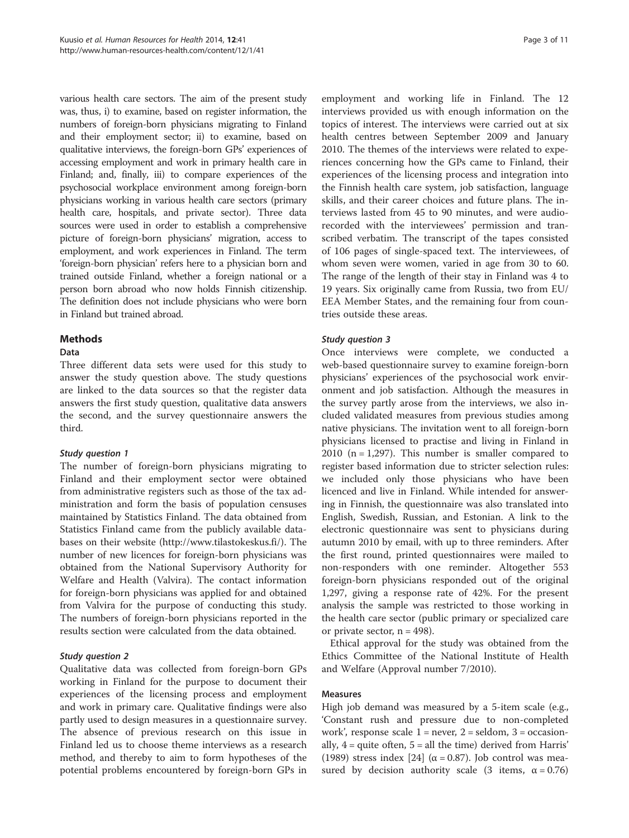various health care sectors. The aim of the present study was, thus, i) to examine, based on register information, the numbers of foreign-born physicians migrating to Finland and their employment sector; ii) to examine, based on qualitative interviews, the foreign-born GPs' experiences of accessing employment and work in primary health care in Finland; and, finally, iii) to compare experiences of the psychosocial workplace environment among foreign-born physicians working in various health care sectors (primary health care, hospitals, and private sector). Three data sources were used in order to establish a comprehensive picture of foreign-born physicians' migration, access to employment, and work experiences in Finland. The term 'foreign-born physician' refers here to a physician born and trained outside Finland, whether a foreign national or a person born abroad who now holds Finnish citizenship. The definition does not include physicians who were born in Finland but trained abroad.

#### **Methods**

#### Data

Three different data sets were used for this study to answer the study question above. The study questions are linked to the data sources so that the register data answers the first study question, qualitative data answers the second, and the survey questionnaire answers the third.

#### Study question 1

The number of foreign-born physicians migrating to Finland and their employment sector were obtained from administrative registers such as those of the tax administration and form the basis of population censuses maintained by Statistics Finland. The data obtained from Statistics Finland came from the publicly available databases on their website ([http://www.tilastokeskus.fi/\)](http://www.tilastokeskus.fi/). The number of new licences for foreign-born physicians was obtained from the National Supervisory Authority for Welfare and Health (Valvira). The contact information for foreign-born physicians was applied for and obtained from Valvira for the purpose of conducting this study. The numbers of foreign-born physicians reported in the results section were calculated from the data obtained.

#### Study question 2

Qualitative data was collected from foreign-born GPs working in Finland for the purpose to document their experiences of the licensing process and employment and work in primary care. Qualitative findings were also partly used to design measures in a questionnaire survey. The absence of previous research on this issue in Finland led us to choose theme interviews as a research method, and thereby to aim to form hypotheses of the potential problems encountered by foreign-born GPs in employment and working life in Finland. The 12 interviews provided us with enough information on the topics of interest. The interviews were carried out at six health centres between September 2009 and January 2010. The themes of the interviews were related to experiences concerning how the GPs came to Finland, their experiences of the licensing process and integration into the Finnish health care system, job satisfaction, language skills, and their career choices and future plans. The interviews lasted from 45 to 90 minutes, and were audiorecorded with the interviewees' permission and transcribed verbatim. The transcript of the tapes consisted of 106 pages of single-spaced text. The interviewees, of whom seven were women, varied in age from 30 to 60. The range of the length of their stay in Finland was 4 to 19 years. Six originally came from Russia, two from EU/ EEA Member States, and the remaining four from countries outside these areas.

#### Study question 3

Once interviews were complete, we conducted a web-based questionnaire survey to examine foreign-born physicians' experiences of the psychosocial work environment and job satisfaction. Although the measures in the survey partly arose from the interviews, we also included validated measures from previous studies among native physicians. The invitation went to all foreign-born physicians licensed to practise and living in Finland in 2010 ( $n = 1,297$ ). This number is smaller compared to register based information due to stricter selection rules: we included only those physicians who have been licenced and live in Finland. While intended for answering in Finnish, the questionnaire was also translated into English, Swedish, Russian, and Estonian. A link to the electronic questionnaire was sent to physicians during autumn 2010 by email, with up to three reminders. After the first round, printed questionnaires were mailed to non-responders with one reminder. Altogether 553 foreign-born physicians responded out of the original 1,297, giving a response rate of 42%. For the present analysis the sample was restricted to those working in the health care sector (public primary or specialized care or private sector,  $n = 498$ ).

Ethical approval for the study was obtained from the Ethics Committee of the National Institute of Health and Welfare (Approval number 7/2010).

#### Measures

High job demand was measured by a 5-item scale (e.g., 'Constant rush and pressure due to non-completed work', response scale  $1 =$  never,  $2 =$  seldom,  $3 =$  occasionally,  $4 =$  quite often,  $5 =$  all the time) derived from Harris' (1989) stress index [\[24](#page-10-0)] ( $\alpha$  = 0.87). Job control was measured by decision authority scale (3 items,  $\alpha = 0.76$ )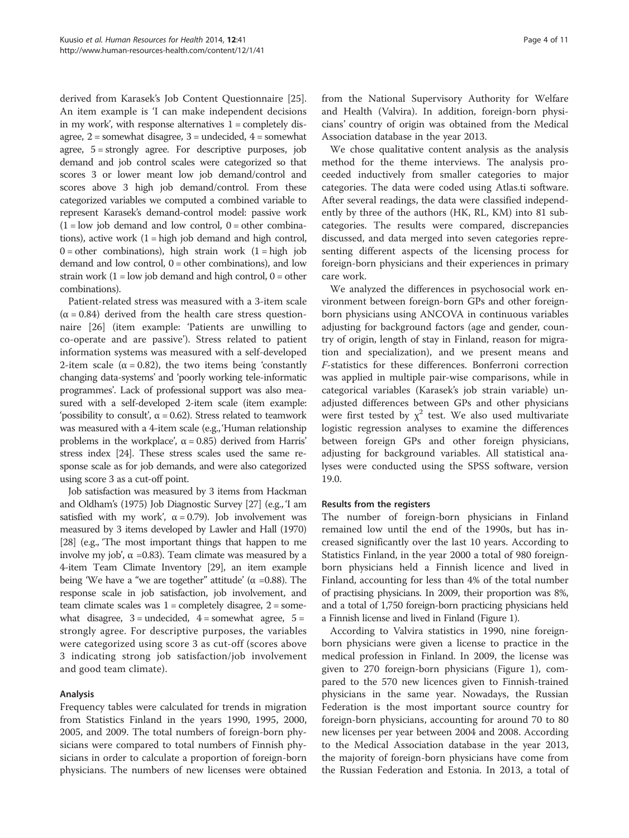derived from Karasek's Job Content Questionnaire [\[25](#page-10-0)]. An item example is 'I can make independent decisions in my work', with response alternatives  $1 =$  completely disagree,  $2 =$  somewhat disagree,  $3 =$  undecided,  $4 =$  somewhat agree, 5 = strongly agree. For descriptive purposes, job demand and job control scales were categorized so that scores 3 or lower meant low job demand/control and scores above 3 high job demand/control. From these categorized variables we computed a combined variable to represent Karasek's demand-control model: passive work  $(1 = low$  job demand and low control,  $0 = other$  combinations), active work  $(1 = \text{high job demand and high control},$  $0 =$  other combinations), high strain work  $(1 =$  high job demand and low control,  $0 =$  other combinations), and low strain work  $(1 = low$  job demand and high control,  $0 = other$ combinations).

Patient-related stress was measured with a 3-item scale  $(\alpha = 0.84)$  derived from the health care stress questionnaire [[26\]](#page-10-0) (item example: 'Patients are unwilling to co-operate and are passive'). Stress related to patient information systems was measured with a self-developed 2-item scale ( $\alpha$  = 0.82), the two items being 'constantly changing data-systems' and 'poorly working tele-informatic programmes'. Lack of professional support was also measured with a self-developed 2-item scale (item example: 'possibility to consult',  $\alpha$  = 0.62). Stress related to teamwork was measured with a 4-item scale (e.g., 'Human relationship problems in the workplace', α = 0.85) derived from Harris' stress index [[24](#page-10-0)]. These stress scales used the same response scale as for job demands, and were also categorized using score 3 as a cut-off point.

Job satisfaction was measured by 3 items from Hackman and Oldham's (1975) Job Diagnostic Survey [\[27\]](#page-10-0) (e.g., 'I am satisfied with my work',  $\alpha = 0.79$ ). Job involvement was measured by 3 items developed by Lawler and Hall (1970) [[28](#page-10-0)] (e.g., 'The most important things that happen to me involve my job',  $\alpha$  =0.83). Team climate was measured by a 4-item Team Climate Inventory [\[29\]](#page-10-0), an item example being 'We have a "we are together" attitude' ( $α = 0.88$ ). The response scale in job satisfaction, job involvement, and team climate scales was  $1 =$  completely disagree,  $2 =$  somewhat disagree,  $3 =$  undecided,  $4 =$  somewhat agree,  $5 =$ strongly agree. For descriptive purposes, the variables were categorized using score 3 as cut-off (scores above 3 indicating strong job satisfaction/job involvement and good team climate).

#### Analysis

Frequency tables were calculated for trends in migration from Statistics Finland in the years 1990, 1995, 2000, 2005, and 2009. The total numbers of foreign-born physicians were compared to total numbers of Finnish physicians in order to calculate a proportion of foreign-born physicians. The numbers of new licenses were obtained

from the National Supervisory Authority for Welfare and Health (Valvira). In addition, foreign-born physicians' country of origin was obtained from the Medical Association database in the year 2013.

We chose qualitative content analysis as the analysis method for the theme interviews. The analysis proceeded inductively from smaller categories to major categories. The data were coded using Atlas.ti software. After several readings, the data were classified independently by three of the authors (HK, RL, KM) into 81 subcategories. The results were compared, discrepancies discussed, and data merged into seven categories representing different aspects of the licensing process for foreign-born physicians and their experiences in primary care work.

We analyzed the differences in psychosocial work environment between foreign-born GPs and other foreignborn physicians using ANCOVA in continuous variables adjusting for background factors (age and gender, country of origin, length of stay in Finland, reason for migration and specialization), and we present means and F-statistics for these differences. Bonferroni correction was applied in multiple pair-wise comparisons, while in categorical variables (Karasek's job strain variable) unadjusted differences between GPs and other physicians were first tested by  $\chi^2$  test. We also used multivariate logistic regression analyses to examine the differences between foreign GPs and other foreign physicians, adjusting for background variables. All statistical analyses were conducted using the SPSS software, version 19.0.

#### Results from the registers

The number of foreign-born physicians in Finland remained low until the end of the 1990s, but has increased significantly over the last 10 years. According to Statistics Finland, in the year 2000 a total of 980 foreignborn physicians held a Finnish licence and lived in Finland, accounting for less than 4% of the total number of practising physicians. In 2009, their proportion was 8%, and a total of 1,750 foreign-born practicing physicians held a Finnish license and lived in Finland (Figure [1](#page-5-0)).

According to Valvira statistics in 1990, nine foreignborn physicians were given a license to practice in the medical profession in Finland. In 2009, the license was given to 270 foreign-born physicians (Figure [1\)](#page-5-0), compared to the 570 new licences given to Finnish-trained physicians in the same year. Nowadays, the Russian Federation is the most important source country for foreign-born physicians, accounting for around 70 to 80 new licenses per year between 2004 and 2008. According to the Medical Association database in the year 2013, the majority of foreign-born physicians have come from the Russian Federation and Estonia. In 2013, a total of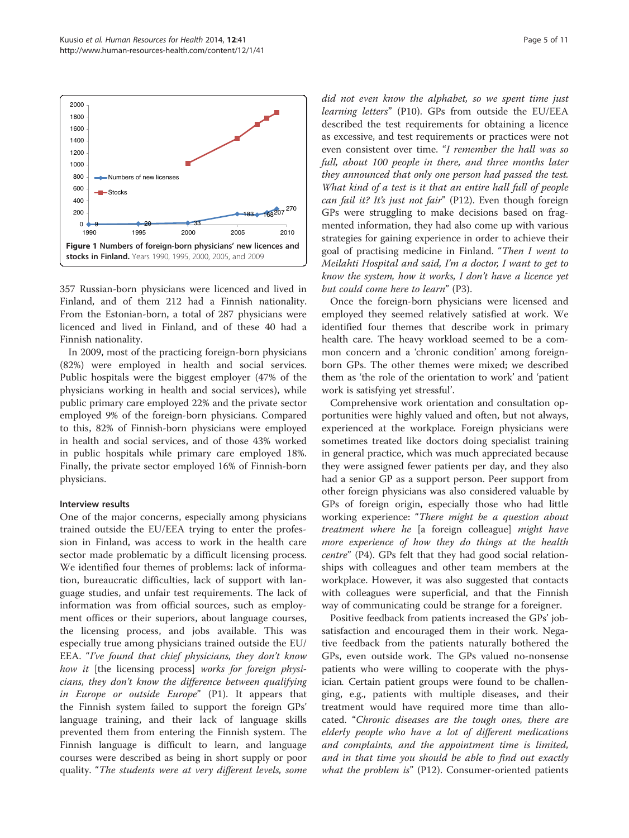<span id="page-5-0"></span>

357 Russian-born physicians were licenced and lived in Finland, and of them 212 had a Finnish nationality. From the Estonian-born, a total of 287 physicians were licenced and lived in Finland, and of these 40 had a Finnish nationality.

In 2009, most of the practicing foreign-born physicians (82%) were employed in health and social services. Public hospitals were the biggest employer (47% of the physicians working in health and social services), while public primary care employed 22% and the private sector employed 9% of the foreign-born physicians. Compared to this, 82% of Finnish-born physicians were employed in health and social services, and of those 43% worked in public hospitals while primary care employed 18%. Finally, the private sector employed 16% of Finnish-born physicians.

#### Interview results

One of the major concerns, especially among physicians trained outside the EU/EEA trying to enter the profession in Finland, was access to work in the health care sector made problematic by a difficult licensing process. We identified four themes of problems: lack of information, bureaucratic difficulties, lack of support with language studies, and unfair test requirements. The lack of information was from official sources, such as employment offices or their superiors, about language courses, the licensing process, and jobs available. This was especially true among physicians trained outside the EU/ EEA. "I've found that chief physicians, they don't know how it [the licensing process] works for foreign physicians, they don't know the difference between qualifying in Europe or outside Europe" (P1). It appears that the Finnish system failed to support the foreign GPs' language training, and their lack of language skills prevented them from entering the Finnish system. The Finnish language is difficult to learn, and language courses were described as being in short supply or poor quality. "The students were at very different levels, some did not even know the alphabet, so we spent time just learning letters" (P10). GPs from outside the EU/EEA described the test requirements for obtaining a licence as excessive, and test requirements or practices were not even consistent over time. "I remember the hall was so full, about 100 people in there, and three months later they announced that only one person had passed the test. What kind of a test is it that an entire hall full of people can fail it? It's just not fair" (P12). Even though foreign GPs were struggling to make decisions based on fragmented information, they had also come up with various strategies for gaining experience in order to achieve their goal of practising medicine in Finland. "Then I went to Meilahti Hospital and said, I'm a doctor, I want to get to know the system, how it works, I don't have a licence yet but could come here to learn" (P3).

Once the foreign-born physicians were licensed and employed they seemed relatively satisfied at work. We identified four themes that describe work in primary health care. The heavy workload seemed to be a common concern and a 'chronic condition' among foreignborn GPs. The other themes were mixed; we described them as 'the role of the orientation to work' and 'patient work is satisfying yet stressful'.

Comprehensive work orientation and consultation opportunities were highly valued and often, but not always, experienced at the workplace. Foreign physicians were sometimes treated like doctors doing specialist training in general practice, which was much appreciated because they were assigned fewer patients per day, and they also had a senior GP as a support person. Peer support from other foreign physicians was also considered valuable by GPs of foreign origin, especially those who had little working experience: "There might be a question about treatment where he [a foreign colleague] might have more experience of how they do things at the health centre" (P4). GPs felt that they had good social relationships with colleagues and other team members at the workplace. However, it was also suggested that contacts with colleagues were superficial, and that the Finnish way of communicating could be strange for a foreigner.

Positive feedback from patients increased the GPs' jobsatisfaction and encouraged them in their work. Negative feedback from the patients naturally bothered the GPs, even outside work. The GPs valued no-nonsense patients who were willing to cooperate with the physician. Certain patient groups were found to be challenging, e.g., patients with multiple diseases, and their treatment would have required more time than allocated. "Chronic diseases are the tough ones, there are elderly people who have a lot of different medications and complaints, and the appointment time is limited, and in that time you should be able to find out exactly what the problem is" (P12). Consumer-oriented patients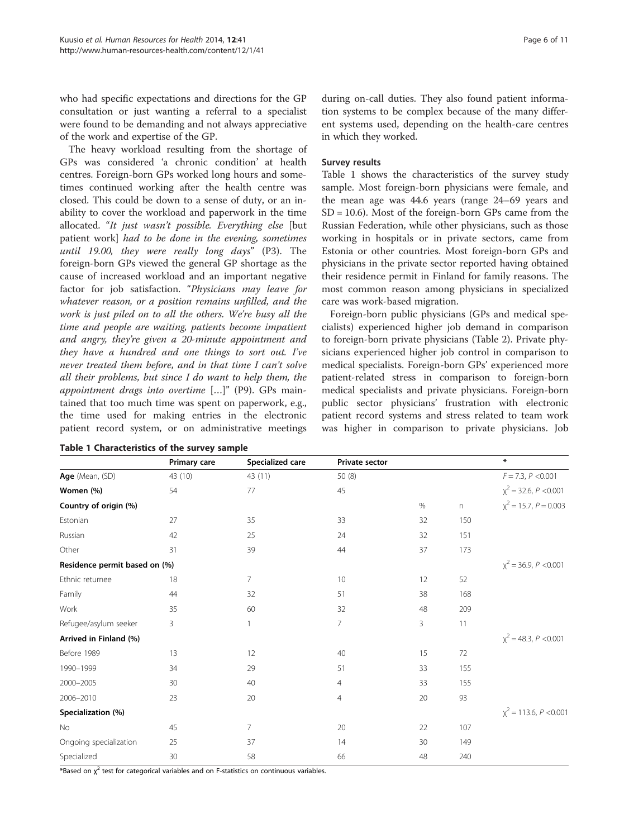who had specific expectations and directions for the GP consultation or just wanting a referral to a specialist were found to be demanding and not always appreciative of the work and expertise of the GP.

The heavy workload resulting from the shortage of GPs was considered 'a chronic condition' at health centres. Foreign-born GPs worked long hours and sometimes continued working after the health centre was closed. This could be down to a sense of duty, or an inability to cover the workload and paperwork in the time allocated. "It just wasn't possible. Everything else [but patient work] had to be done in the evening, sometimes until 19.00, they were really long days" (P3). The foreign-born GPs viewed the general GP shortage as the cause of increased workload and an important negative factor for job satisfaction. "Physicians may leave for whatever reason, or a position remains unfilled, and the work is just piled on to all the others. We're busy all the time and people are waiting, patients become impatient and angry, they're given a 20-minute appointment and they have a hundred and one things to sort out. I've never treated them before, and in that time I can't solve all their problems, but since I do want to help them, the appointment drags into overtime […]" (P9). GPs maintained that too much time was spent on paperwork, e.g., the time used for making entries in the electronic patient record system, or on administrative meetings

|  | Table 1 Characteristics of the survey sample |  |  |  |
|--|----------------------------------------------|--|--|--|
|--|----------------------------------------------|--|--|--|

during on-call duties. They also found patient information systems to be complex because of the many different systems used, depending on the health-care centres in which they worked.

#### Survey results

Table 1 shows the characteristics of the survey study sample. Most foreign-born physicians were female, and the mean age was 44.6 years (range 24–69 years and  $SD = 10.6$ ). Most of the foreign-born GPs came from the Russian Federation, while other physicians, such as those working in hospitals or in private sectors, came from Estonia or other countries. Most foreign-born GPs and physicians in the private sector reported having obtained their residence permit in Finland for family reasons. The most common reason among physicians in specialized care was work-based migration.

Foreign-born public physicians (GPs and medical specialists) experienced higher job demand in comparison to foreign-born private physicians (Table [2](#page-7-0)). Private physicians experienced higher job control in comparison to medical specialists. Foreign-born GPs' experienced more patient-related stress in comparison to foreign-born medical specialists and private physicians. Foreign-born public sector physicians' frustration with electronic patient record systems and stress related to team work was higher in comparison to private physicians. Job

|                               | Primary care | Specialized care | <b>Private sector</b> |    |     | $\ast$                     |
|-------------------------------|--------------|------------------|-----------------------|----|-----|----------------------------|
| Age (Mean, (SD)               | 43 (10)      | 43 (11)          | 50(8)                 |    |     | $F = 7.3, P < 0.001$       |
| Women (%)                     | 54           | 77               | 45                    |    |     | $\chi^2$ = 32.6, P < 0.001 |
| Country of origin (%)         |              |                  |                       | %  | n   | $\chi^2$ = 15.7, P = 0.003 |
| Estonian                      | 27           | 35               | 33                    | 32 | 150 |                            |
| Russian                       | 42           | 25               | 24                    | 32 | 151 |                            |
| Other                         | 31           | 39               | 44                    | 37 | 173 |                            |
| Residence permit based on (%) |              |                  |                       |    |     | $x^2$ = 36.9, P < 0.001    |
| Ethnic returnee               | 18           | $\overline{7}$   | 10                    | 12 | 52  |                            |
| Family                        | 44           | 32               | 51                    | 38 | 168 |                            |
| Work                          | 35           | 60               | 32                    | 48 | 209 |                            |
| Refugee/asylum seeker         | 3            | 1                | $\overline{7}$        | 3  | 11  |                            |
| Arrived in Finland (%)        |              |                  |                       |    |     | $x^2$ = 48.3, P < 0.001    |
| Before 1989                   | 13           | 12               | 40                    | 15 | 72  |                            |
| 1990-1999                     | 34           | 29               | 51                    | 33 | 155 |                            |
| 2000-2005                     | 30           | 40               | 4                     | 33 | 155 |                            |
| 2006-2010                     | 23           | 20               | $\overline{4}$        | 20 | 93  |                            |
| Specialization (%)            |              |                  |                       |    |     | $x^2$ = 113.6, P < 0.001   |
| No                            | 45           | 7                | 20                    | 22 | 107 |                            |
| Ongoing specialization        | 25           | 37               | 14                    | 30 | 149 |                            |
| Specialized                   | 30           | 58               | 66                    | 48 | 240 |                            |

\*Based on  $x^2$  test for categorical variables and on F-statistics on continuous variables.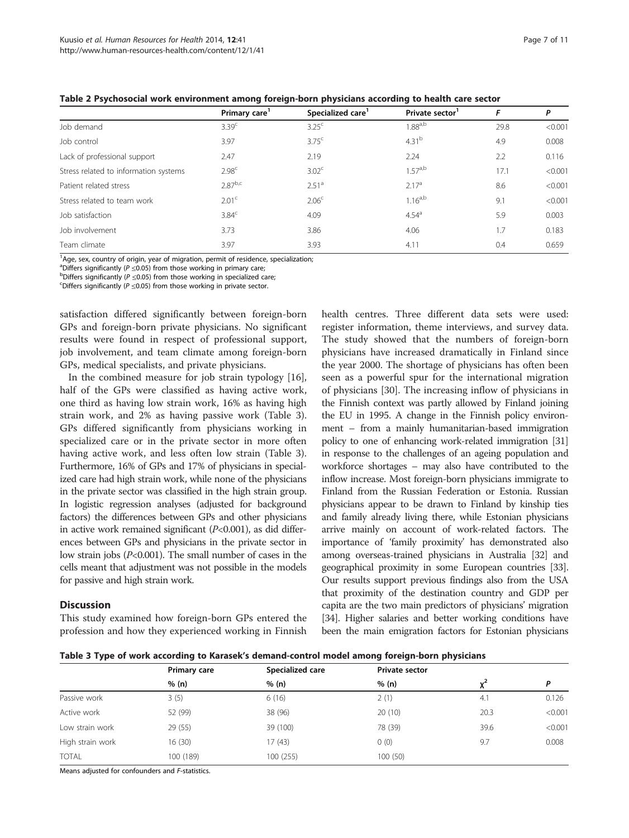| Page 7 of 11 |  |  |
|--------------|--|--|
|              |  |  |

<span id="page-7-0"></span>

|                                       | Primary care <sup>1</sup> | Specialized care <sup>1</sup> | Private sector <sup>1</sup> | F    | P       |
|---------------------------------------|---------------------------|-------------------------------|-----------------------------|------|---------|
| Job demand                            | 3.39 <sup>c</sup>         | 3.25 <sup>c</sup>             | $1.88^{a,b}$                | 29.8 | < 0.001 |
| Job control                           | 3.97                      | 3.75 <sup>c</sup>             | $4.31^{b}$                  | 4.9  | 0.008   |
| Lack of professional support          | 2.47                      | 2.19                          | 2.24                        | 2.2  | 0.116   |
| Stress related to information systems | 2.98 <sup>c</sup>         | 3.02 <sup>c</sup>             | $1.57^{a,b}$                | 17.1 | < 0.001 |
| Patient related stress                | $2.87^{b,c}$              | 2.51 <sup>a</sup>             | 2.17 <sup>a</sup>           | 8.6  | < 0.001 |
| Stress related to team work           | 2.01 <sup>c</sup>         | 2.06 <sup>c</sup>             | $1.16^{a,b}$                | 9.1  | < 0.001 |
| Job satisfaction                      | 3.84 <sup>c</sup>         | 4.09                          | 4.54 <sup>a</sup>           | 5.9  | 0.003   |
| Job involvement                       | 3.73                      | 3.86                          | 4.06                        | 1.7  | 0.183   |
| Team climate                          | 3.97                      | 3.93                          | 4.11                        | 0.4  | 0.659   |

<sup>1</sup>Age, sex, country of origin, year of migration, permit of residence, specialization;

<sup>a</sup>Differs significantly (*P* ≤0.05) from those working in primary care;<sup>b</sup>Differs significantly (*P* ≤0.05) from those working in specialized ≤

 $b$ Differs significantly (P < 0.05) from those working in specialized care;

<sup>c</sup>Differs significantly ( $P \le 0.05$ ) from those working in private sector.

satisfaction differed significantly between foreign-born GPs and foreign-born private physicians. No significant results were found in respect of professional support, job involvement, and team climate among foreign-born GPs, medical specialists, and private physicians.

In the combined measure for job strain typology [\[16](#page-10-0)], half of the GPs were classified as having active work, one third as having low strain work, 16% as having high strain work, and 2% as having passive work (Table 3). GPs differed significantly from physicians working in specialized care or in the private sector in more often having active work, and less often low strain (Table 3). Furthermore, 16% of GPs and 17% of physicians in specialized care had high strain work, while none of the physicians in the private sector was classified in the high strain group. In logistic regression analyses (adjusted for background factors) the differences between GPs and other physicians in active work remained significant  $(P<0.001)$ , as did differences between GPs and physicians in the private sector in low strain jobs (P<0.001). The small number of cases in the cells meant that adjustment was not possible in the models for passive and high strain work.

#### **Discussion**

This study examined how foreign-born GPs entered the profession and how they experienced working in Finnish health centres. Three different data sets were used: register information, theme interviews, and survey data. The study showed that the numbers of foreign-born physicians have increased dramatically in Finland since the year 2000. The shortage of physicians has often been seen as a powerful spur for the international migration of physicians [[30\]](#page-10-0). The increasing inflow of physicians in the Finnish context was partly allowed by Finland joining the EU in 1995. A change in the Finnish policy environment – from a mainly humanitarian-based immigration policy to one of enhancing work-related immigration [\[31](#page-10-0)] in response to the challenges of an ageing population and workforce shortages – may also have contributed to the inflow increase. Most foreign-born physicians immigrate to Finland from the Russian Federation or Estonia. Russian physicians appear to be drawn to Finland by kinship ties and family already living there, while Estonian physicians arrive mainly on account of work-related factors. The importance of 'family proximity' has demonstrated also among overseas-trained physicians in Australia [\[32\]](#page-10-0) and geographical proximity in some European countries [\[33](#page-10-0)]. Our results support previous findings also from the USA that proximity of the destination country and GDP per capita are the two main predictors of physicians' migration [[34](#page-10-0)]. Higher salaries and better working conditions have been the main emigration factors for Estonian physicians

Table 3 Type of work according to Karasek's demand-control model among foreign-born physicians

|                  | <b>Primary care</b> | Specialized care<br><b>Private sector</b> |         |       |         |
|------------------|---------------------|-------------------------------------------|---------|-------|---------|
|                  | % (n)               | % (n)                                     | % (n)   | $v^2$ | P       |
| Passive work     | 3(5)                | 6(16)                                     | 2(1)    | 4.1   | 0.126   |
| Active work      | 52 (99)             | 38 (96)                                   | 20(10)  | 20.3  | < 0.001 |
| Low strain work  | 29 (55)             | 39 (100)                                  | 78 (39) | 39.6  | < 0.001 |
| High strain work | 16 (30)             | 17 (43)                                   | 0(0)    | 9.7   | 0.008   |
| <b>TOTAL</b>     | 100 (189)           | 100 (255)                                 | 100(50) |       |         |

Means adjusted for confounders and F-statistics.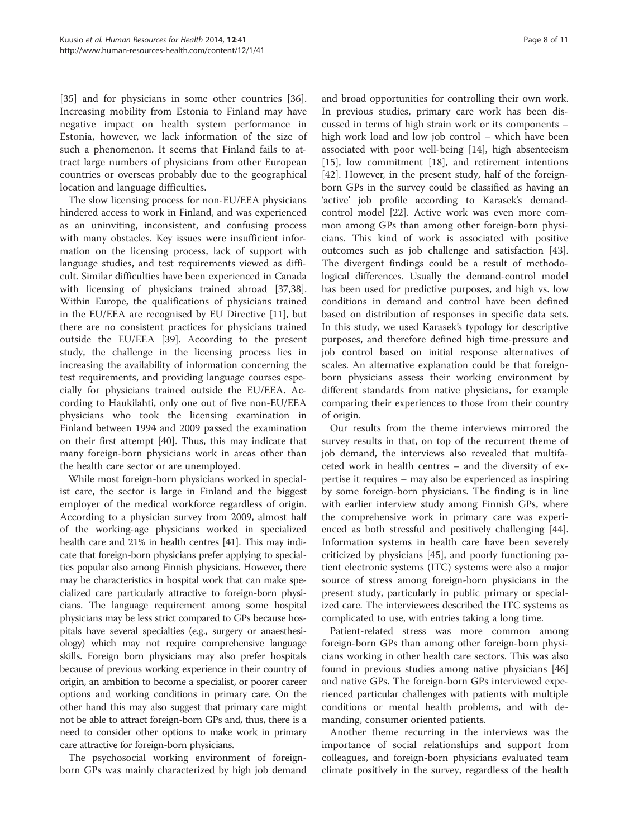[[35\]](#page-10-0) and for physicians in some other countries [\[36](#page-10-0)]. Increasing mobility from Estonia to Finland may have negative impact on health system performance in Estonia, however, we lack information of the size of such a phenomenon. It seems that Finland fails to attract large numbers of physicians from other European countries or overseas probably due to the geographical location and language difficulties.

The slow licensing process for non-EU/EEA physicians hindered access to work in Finland, and was experienced as an uninviting, inconsistent, and confusing process with many obstacles. Key issues were insufficient information on the licensing process, lack of support with language studies, and test requirements viewed as difficult. Similar difficulties have been experienced in Canada with licensing of physicians trained abroad [\[37,38](#page-10-0)]. Within Europe, the qualifications of physicians trained in the EU/EEA are recognised by EU Directive [\[11](#page-10-0)], but there are no consistent practices for physicians trained outside the EU/EEA [\[39\]](#page-10-0). According to the present study, the challenge in the licensing process lies in increasing the availability of information concerning the test requirements, and providing language courses especially for physicians trained outside the EU/EEA. According to Haukilahti, only one out of five non-EU/EEA physicians who took the licensing examination in Finland between 1994 and 2009 passed the examination on their first attempt [[40\]](#page-10-0). Thus, this may indicate that many foreign-born physicians work in areas other than the health care sector or are unemployed.

While most foreign-born physicians worked in specialist care, the sector is large in Finland and the biggest employer of the medical workforce regardless of origin. According to a physician survey from 2009, almost half of the working-age physicians worked in specialized health care and 21% in health centres [[41](#page-10-0)]. This may indicate that foreign-born physicians prefer applying to specialties popular also among Finnish physicians. However, there may be characteristics in hospital work that can make specialized care particularly attractive to foreign-born physicians. The language requirement among some hospital physicians may be less strict compared to GPs because hospitals have several specialties (e.g., surgery or anaesthesiology) which may not require comprehensive language skills. Foreign born physicians may also prefer hospitals because of previous working experience in their country of origin, an ambition to become a specialist, or poorer career options and working conditions in primary care. On the other hand this may also suggest that primary care might not be able to attract foreign-born GPs and, thus, there is a need to consider other options to make work in primary care attractive for foreign-born physicians.

The psychosocial working environment of foreignborn GPs was mainly characterized by high job demand

and broad opportunities for controlling their own work. In previous studies, primary care work has been discussed in terms of high strain work or its components – high work load and low job control – which have been associated with poor well-being [[14\]](#page-10-0), high absenteeism [[15\]](#page-10-0), low commitment [[18\]](#page-10-0), and retirement intentions [[42\]](#page-10-0). However, in the present study, half of the foreignborn GPs in the survey could be classified as having an 'active' job profile according to Karasek's demandcontrol model [\[22\]](#page-10-0). Active work was even more common among GPs than among other foreign-born physicians. This kind of work is associated with positive outcomes such as job challenge and satisfaction [\[43](#page-10-0)]. The divergent findings could be a result of methodological differences. Usually the demand-control model has been used for predictive purposes, and high vs. low conditions in demand and control have been defined based on distribution of responses in specific data sets. In this study, we used Karasek's typology for descriptive purposes, and therefore defined high time-pressure and job control based on initial response alternatives of scales. An alternative explanation could be that foreignborn physicians assess their working environment by different standards from native physicians, for example comparing their experiences to those from their country of origin.

Our results from the theme interviews mirrored the survey results in that, on top of the recurrent theme of job demand, the interviews also revealed that multifaceted work in health centres – and the diversity of expertise it requires – may also be experienced as inspiring by some foreign-born physicians. The finding is in line with earlier interview study among Finnish GPs, where the comprehensive work in primary care was experienced as both stressful and positively challenging [\[44](#page-10-0)]. Information systems in health care have been severely criticized by physicians [[45](#page-10-0)], and poorly functioning patient electronic systems (ITC) systems were also a major source of stress among foreign-born physicians in the present study, particularly in public primary or specialized care. The interviewees described the ITC systems as complicated to use, with entries taking a long time.

Patient-related stress was more common among foreign-born GPs than among other foreign-born physicians working in other health care sectors. This was also found in previous studies among native physicians [[46](#page-11-0)] and native GPs. The foreign-born GPs interviewed experienced particular challenges with patients with multiple conditions or mental health problems, and with demanding, consumer oriented patients.

Another theme recurring in the interviews was the importance of social relationships and support from colleagues, and foreign-born physicians evaluated team climate positively in the survey, regardless of the health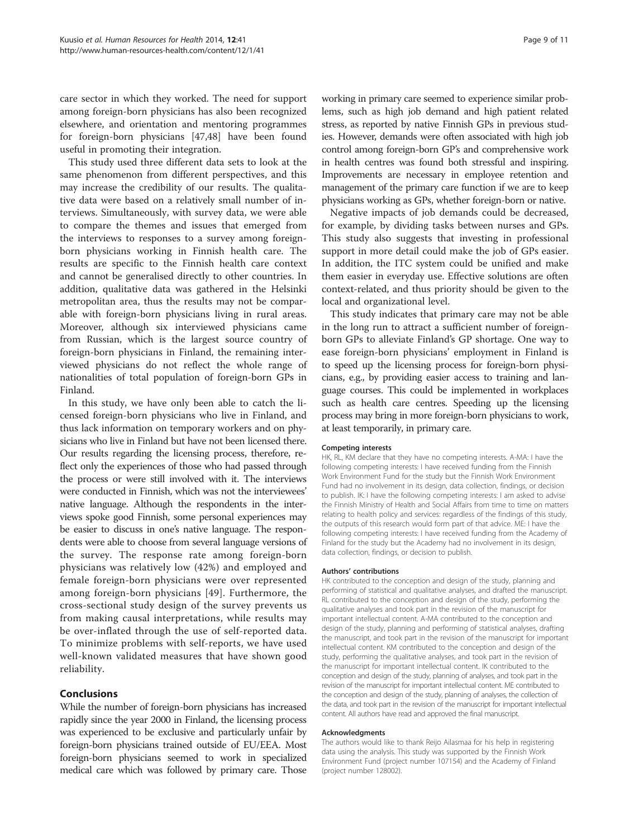care sector in which they worked. The need for support among foreign-born physicians has also been recognized elsewhere, and orientation and mentoring programmes for foreign-born physicians [\[47,48](#page-11-0)] have been found useful in promoting their integration.

This study used three different data sets to look at the same phenomenon from different perspectives, and this may increase the credibility of our results. The qualitative data were based on a relatively small number of interviews. Simultaneously, with survey data, we were able to compare the themes and issues that emerged from the interviews to responses to a survey among foreignborn physicians working in Finnish health care. The results are specific to the Finnish health care context and cannot be generalised directly to other countries. In addition, qualitative data was gathered in the Helsinki metropolitan area, thus the results may not be comparable with foreign-born physicians living in rural areas. Moreover, although six interviewed physicians came from Russian, which is the largest source country of foreign-born physicians in Finland, the remaining interviewed physicians do not reflect the whole range of nationalities of total population of foreign-born GPs in Finland.

In this study, we have only been able to catch the licensed foreign-born physicians who live in Finland, and thus lack information on temporary workers and on physicians who live in Finland but have not been licensed there. Our results regarding the licensing process, therefore, reflect only the experiences of those who had passed through the process or were still involved with it. The interviews were conducted in Finnish, which was not the interviewees' native language. Although the respondents in the interviews spoke good Finnish, some personal experiences may be easier to discuss in one's native language. The respondents were able to choose from several language versions of the survey. The response rate among foreign-born physicians was relatively low (42%) and employed and female foreign-born physicians were over represented among foreign-born physicians [[49\]](#page-11-0). Furthermore, the cross-sectional study design of the survey prevents us from making causal interpretations, while results may be over-inflated through the use of self-reported data. To minimize problems with self-reports, we have used well-known validated measures that have shown good reliability.

#### **Conclusions**

While the number of foreign-born physicians has increased rapidly since the year 2000 in Finland, the licensing process was experienced to be exclusive and particularly unfair by foreign-born physicians trained outside of EU/EEA. Most foreign-born physicians seemed to work in specialized medical care which was followed by primary care. Those working in primary care seemed to experience similar problems, such as high job demand and high patient related stress, as reported by native Finnish GPs in previous studies. However, demands were often associated with high job control among foreign-born GP's and comprehensive work in health centres was found both stressful and inspiring. Improvements are necessary in employee retention and management of the primary care function if we are to keep physicians working as GPs, whether foreign-born or native.

Negative impacts of job demands could be decreased, for example, by dividing tasks between nurses and GPs. This study also suggests that investing in professional support in more detail could make the job of GPs easier. In addition, the ITC system could be unified and make them easier in everyday use. Effective solutions are often context-related, and thus priority should be given to the local and organizational level.

This study indicates that primary care may not be able in the long run to attract a sufficient number of foreignborn GPs to alleviate Finland's GP shortage. One way to ease foreign-born physicians' employment in Finland is to speed up the licensing process for foreign-born physicians, e.g., by providing easier access to training and language courses. This could be implemented in workplaces such as health care centres. Speeding up the licensing process may bring in more foreign-born physicians to work, at least temporarily, in primary care.

#### Competing interests

HK, RL, KM declare that they have no competing interests. A-MA: I have the following competing interests: I have received funding from the Finnish Work Environment Fund for the study but the Finnish Work Environment Fund had no involvement in its design, data collection, findings, or decision to publish. IK: I have the following competing interests: I am asked to advise the Finnish Ministry of Health and Social Affairs from time to time on matters relating to health policy and services: regardless of the findings of this study, the outputs of this research would form part of that advice. ME: I have the following competing interests: I have received funding from the Academy of Finland for the study but the Academy had no involvement in its design, data collection, findings, or decision to publish.

#### Authors' contributions

HK contributed to the conception and design of the study, planning and performing of statistical and qualitative analyses, and drafted the manuscript. RL contributed to the conception and design of the study, performing the qualitative analyses and took part in the revision of the manuscript for important intellectual content. A-MA contributed to the conception and design of the study, planning and performing of statistical analyses, drafting the manuscript, and took part in the revision of the manuscript for important intellectual content. KM contributed to the conception and design of the study, performing the qualitative analyses, and took part in the revision of the manuscript for important intellectual content. IK contributed to the conception and design of the study, planning of analyses, and took part in the revision of the manuscript for important intellectual content. ME contributed to the conception and design of the study, planning of analyses, the collection of the data, and took part in the revision of the manuscript for important intellectual content. All authors have read and approved the final manuscript.

#### Acknowledgments

The authors would like to thank Reijo Ailasmaa for his help in registering data using the analysis. This study was supported by the Finnish Work Environment Fund (project number 107154) and the Academy of Finland (project number 128002).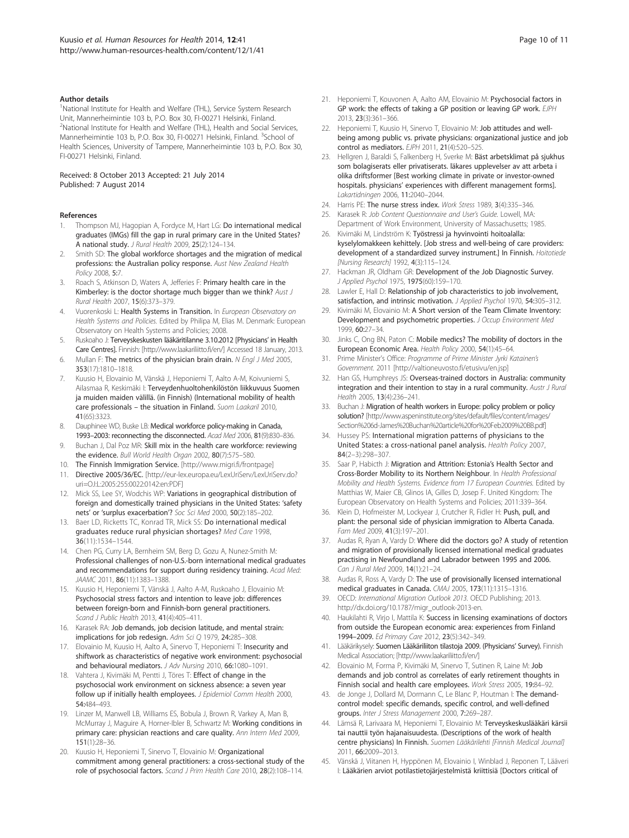#### <span id="page-10-0"></span>Author details

<sup>1</sup>National Institute for Health and Welfare (THL), Service System Research Unit, Mannerheimintie 103 b, P.O. Box 30, FI-00271 Helsinki, Finland. <sup>2</sup>National Institute for Health and Welfare (THL), Health and Social Services, Mannerheimintie 103 b, P.O. Box 30, FI-00271 Helsinki, Finland. <sup>3</sup>School of Health Sciences, University of Tampere, Mannerheimintie 103 b, P.O. Box 30, FI-00271 Helsinki, Finland.

Received: 8 October 2013 Accepted: 21 July 2014 Published: 7 August 2014

#### References

- 1. Thompson MJ, Hagopian A, Fordyce M, Hart LG: Do international medical graduates (IMGs) fill the gap in rural primary care in the United States? A national study. J Rural Health 2009, 25(2):124–134.
- 2. Smith SD: The global workforce shortages and the migration of medical professions: the Australian policy response. Aust New Zealand Health Policy 2008, 5:7.
- 3. Roach S, Atkinson D, Waters A, Jefferies F: Primary health care in the Kimberley: is the doctor shortage much bigger than we think? Aust J Rural Health 2007, 15(6):373–379.
- 4. Vuorenkoski L: Health Systems in Transition. In European Observatory on Health Systems and Policies. Edited by Philipa M, Elias M. Denmark: European Observatory on Health Systems and Policies; 2008.
- Ruskoaho J: Terveyskeskusten lääkäritilanne 3.10.2012 [Physicians' in Health Care Centres]. Finnish: [\[http://www.laakariliitto.fi/en/](http://www.laakariliitto.fi/en/)] Accessed 18 January, 2013.
- 6. Mullan F: The metrics of the physician brain drain. N Engl J Med 2005, 353(17):1810–1818.
- 7. Kuusio H, Elovainio M, Vänskä J, Heponiemi T, Aalto A-M, Koivuniemi S, Ailasmaa R, Keskimäki I: Terveydenhuoltohenkilöstön liikkuvuus Suomen ja muiden maiden välillä. (in Finnish) (International mobility of health care professionals – the situation in Finland. Suom Laakaril 2010, 41(65):3323.
- 8. Dauphinee WD, Buske LB: Medical workforce policy-making in Canada, 1993–2003: reconnecting the disconnected. Acad Med 2006, 81(9):830–836.
- 9. Buchan J, Dal Poz MR: Skill mix in the health care workforce: reviewing the evidence. Bull World Health Organ 2002, 80(7):575–580.
- 10. The Finnish Immigration Service. [\[http://www.migri.fi/frontpage\]](http://www.migri.fi/frontpage)
- 11. Directive 2005/36/EC. [[http://eur-lex.europa.eu/LexUriServ/LexUriServ.do?](http://eur-lex.europa.eu/LexUriServ/LexUriServ.do?uri=OJ:L:2005:255:0022:0142:en:PDF) [uri=OJ:L:2005:255:0022:0142:en:PDF\]](http://eur-lex.europa.eu/LexUriServ/LexUriServ.do?uri=OJ:L:2005:255:0022:0142:en:PDF)
- 12. Mick SS, Lee SY, Wodchis WP: Variations in geographical distribution of foreign and domestically trained physicians in the United States: 'safety nets' or 'surplus exacerbation'? Soc Sci Med 2000, 50(2):185–202.
- 13. Baer LD, Ricketts TC, Konrad TR, Mick SS: Do international medical graduates reduce rural physician shortages? Med Care 1998, 36(11):1534–1544.
- 14. Chen PG, Curry LA, Bernheim SM, Berg D, Gozu A, Nunez-Smith M: Professional challenges of non-U.S.-born international medical graduates and recommendations for support during residency training. Acad Med: JAAMC 2011, 86(11):1383-1388.
- 15. Kuusio H, Heponiemi T, Vänskä J, Aalto A-M, Ruskoaho J, Elovainio M: Psychosocial stress factors and intention to leave job: differences between foreign-born and Finnish-born general practitioners. Scand J Public Health 2013, 41(4):405–411.
- 16. Karasek RA: Job demands, job decision latitude, and mental strain: implications for job redesign. Adm Sci Q 1979, 24:285–308.
- 17. Elovainio M, Kuusio H, Aalto A, Sinervo T, Heponiemi T: Insecurity and shiftwork as characteristics of negative work environment: psychosocial and behavioural mediators. J Adv Nursing 2010, 66:1080–1091.
- 18. Vahtera J, Kivimäki M, Pentti J, Töres T: Effect of change in the psychosocial work environment on sickness absence: a seven year follow up if initially health employees. J Epidemiol Comm Health 2000, 54:484–493.
- 19. Linzer M, Manwell LB, Williams ES, Bobula J, Brown R, Varkey A, Man B, McMurray J, Maguire A, Horner-Ibler B, Schwartz M: Working conditions in primary care: physician reactions and care quality. Ann Intern Med 2009, 151(1):28–36.
- 20. Kuusio H, Heponiemi T, Sinervo T, Elovainio M: Organizational commitment among general practitioners: a cross-sectional study of the role of psychosocial factors. Scand J Prim Health Care 2010, 28(2):108–114.
- 21. Heponiemi T, Kouvonen A, Aalto AM, Elovainio M: Psychosocial factors in GP work: the effects of taking a GP position or leaving GP work. EJPH 2013, 23(3):361–366.
- 22. Heponiemi T, Kuusio H, Sinervo T, Elovainio M: Job attitudes and wellbeing among public vs. private physicians: organizational justice and job control as mediators. EJPH 2011, 21(4):520–525.
- 23. Hellgren J. Baraldi S. Falkenberg H. Sverke M: Bäst arbetsklimat på sjukhus som bolagiserats eller privatiserats. läkares upplevelser av att arbeta i olika driftsformer [Best working climate in private or investor-owned hospitals. physicians' experiences with different management forms]. Lakartidningen 2006, 11:2040–2044.
- 24. Harris PE: The nurse stress index. Work Stress 1989, 3(4):335–346.
- 25. Karasek R: Job Content Questionnaire and User's Guide. Lowell, MA: Department of Work Environment, University of Massachusetts; 1985.
- 26. Kivimäki M, Lindström K: Työstressi ja hyvinvointi hoitoalalla: kyselylomakkeen kehittely. [Job stress and well-being of care providers: development of a standardized survey instrument.] In Finnish. Hoitotiede [Nursing Research] 1992, 4(3):115–124.
- 27. Hackman JR, Oldham GR: Development of the Job Diagnostic Survey. J Applied Psychol 1975, 1975(60):159–170.
- 28. Lawler E, Hall D: Relationship of job characteristics to job involvement, satisfaction, and intrinsic motivation. J Applied Psychol 1970, 54:305-312.
- 29. Kivimäki M, Elovainio M: A Short version of the Team Climate Inventory: Development and psychometric properties. J Occup Environment Med 1999, 60:27–34.
- 30. Jinks C, Ong BN, Paton C: Mobile medics? The mobility of doctors in the European Economic Area. Health Policy 2000, 54(1):45–64.
- 31. Prime Minister's Office: Programme of Prime Minister Jyrki Katainen's Government. 2011 [\[http://valtioneuvosto.fi/etusivu/en.jsp](http://valtioneuvosto.fi/etusivu/en.jsp)]
- 32. Han GS, Humphreys JS: Overseas-trained doctors in Australia: community integration and their intention to stay in a rural community. Austr J Rural Health 2005, 13(4):236–241.
- 33. Buchan J: Migration of health workers in Europe: policy problem or policy solution? [\[http://www.aspeninstitute.org/sites/default/files/content/images/](http://www.aspeninstitute.org/sites/default/files/content/images/Section%206d-James%20Buchan%20article%20for%20Feb2009%20BB.pdf) [Section%206d-James%20Buchan%20article%20for%20Feb2009%20BB.pdf\]](http://www.aspeninstitute.org/sites/default/files/content/images/Section%206d-James%20Buchan%20article%20for%20Feb2009%20BB.pdf)
- 34. Hussey PS: International migration patterns of physicians to the United States: a cross-national panel analysis. Health Policy 2007, 84(2–3):298–307.
- 35. Saar P, Habicth J: Migration and Attrition: Estonia's Health Sector and Cross-Border Mobility to its Northern Neighbour. In Health Professional Mobility and Health Systems. Evidence from 17 European Countries. Edited by Matthias W, Maier CB, Glinos IA, Gilles D, Josep F. United Kingdom: The European Observatory on Health Systems and Policies; 2011:339–364.
- 36. Klein D, Hofmeister M, Lockyear J, Crutcher R, Fidler H: Push, pull, and plant: the personal side of physician immigration to Alberta Canada. Fam Med 2009, 41(3):197–201.
- 37. Audas R, Ryan A, Vardy D: Where did the doctors go? A study of retention and migration of provisionally licensed international medical graduates practising in Newfoundland and Labrador between 1995 and 2006. Can J Rural Med 2009, 14(1):21–24.
- 38. Audas R, Ross A, Vardy D: The use of provisionally licensed international medical graduates in Canada. CMAJ 2005, 173(11):1315–1316.
- 39. OECD: International Migration Outlook 2013. OECD Publishing; 2013. [http://dx.doi.org/10.1787/migr\\_outlook-2013-en.](http://dx.doi.org/10.1787/migr_outlook-2013-en)
- 40. Haukilahti R, Virjo I, Mattila K: Success in licensing examinations of doctors from outside the European economic area: experiences from Finland 1994–2009. Ed Primary Care 2012, 23(5):342–349.
- 41. Lääkärikysely: Suomen Lääkäriliiton tilastoja 2009. (Physicians' Survey). Finnish Medical Association; [\[http://www.laakariliitto.fi/en/](http://www.laakariliitto.fi/en/)]
- 42. Elovainio M, Forma P, Kivimäki M, Sinervo T, Sutinen R, Laine M: Job demands and job control as correlates of early retirement thoughts in Finnish social and health care employees. Work Stress 2005, 19:84–92.
- 43. de Jonge J, Dollard M, Dormann C, Le Blanc P, Houtman I: The demandcontrol model: specific demands, specific control, and well-defined groups. Inter J Stress Management 2000, 7:269–287.
- 44. Lämsä R, Larivaara M, Heponiemi T, Elovainio M: Terveyskeskuslääkäri kärsii tai nauttii työn hajanaisuudesta. (Descriptions of the work of health centre physicians) In Finnish. Suomen Lääkärilehti [Finnish Medical Journal] 2011, 66:2009–2013.
- 45. Vänskä J, Viitanen H, Hyppönen M, Elovainio I, Winblad J, Reponen T, Lääveri I: Lääkärien arviot potilastietojärjestelmistä kriittisiä [Doctors critical of